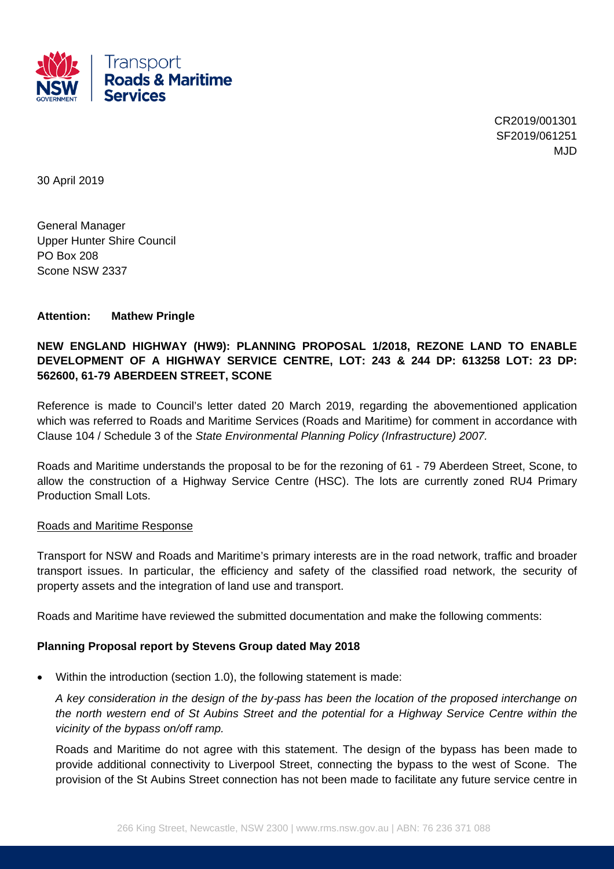

CR2019/001301 SF2019/061251 M.JD

30 April 2019

General Manager Upper Hunter Shire Council PO Box 208 Scone NSW 2337

### **Attention: Mathew Pringle**

# **NEW ENGLAND HIGHWAY (HW9): PLANNING PROPOSAL 1/2018, REZONE LAND TO ENABLE DEVELOPMENT OF A HIGHWAY SERVICE CENTRE, LOT: 243 & 244 DP: 613258 LOT: 23 DP: 562600, 61-79 ABERDEEN STREET, SCONE**

Reference is made to Council's letter dated 20 March 2019, regarding the abovementioned application which was referred to Roads and Maritime Services (Roads and Maritime) for comment in accordance with Clause 104 / Schedule 3 of the *State Environmental Planning Policy (Infrastructure) 2007.* 

Roads and Maritime understands the proposal to be for the rezoning of 61 - 79 Aberdeen Street, Scone, to allow the construction of a Highway Service Centre (HSC). The lots are currently zoned RU4 Primary Production Small Lots.

#### Roads and Maritime Response

Transport for NSW and Roads and Maritime's primary interests are in the road network, traffic and broader transport issues. In particular, the efficiency and safety of the classified road network, the security of property assets and the integration of land use and transport.

Roads and Maritime have reviewed the submitted documentation and make the following comments:

#### **Planning Proposal report by Stevens Group dated May 2018**

Within the introduction (section 1.0), the following statement is made:

*A key consideration in the design of the by*‐*pass has been the location of the proposed interchange on the north western end of St Aubins Street and the potential for a Highway Service Centre within the vicinity of the bypass on/off ramp.*

Roads and Maritime do not agree with this statement. The design of the bypass has been made to provide additional connectivity to Liverpool Street, connecting the bypass to the west of Scone. The provision of the St Aubins Street connection has not been made to facilitate any future service centre in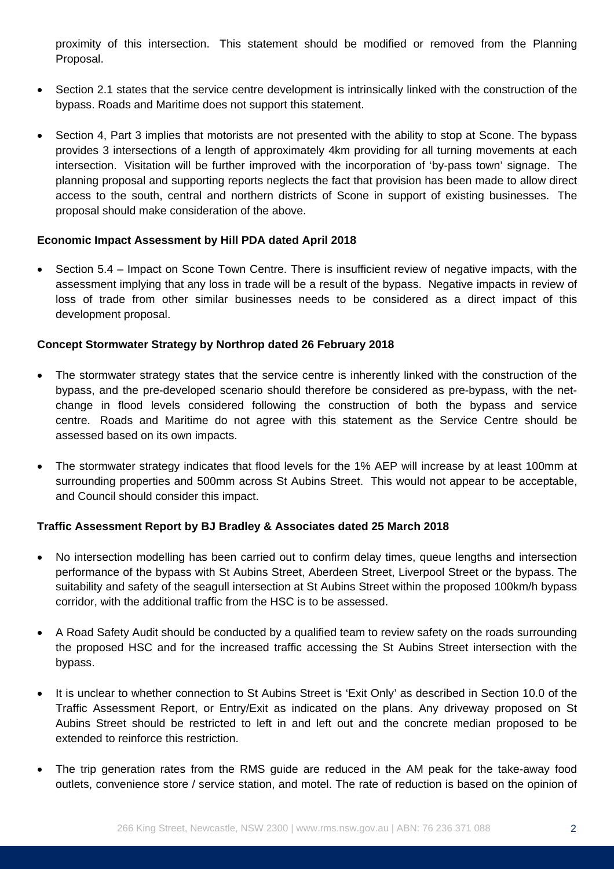proximity of this intersection. This statement should be modified or removed from the Planning Proposal.

- Section 2.1 states that the service centre development is intrinsically linked with the construction of the bypass. Roads and Maritime does not support this statement.
- Section 4, Part 3 implies that motorists are not presented with the ability to stop at Scone. The bypass provides 3 intersections of a length of approximately 4km providing for all turning movements at each intersection. Visitation will be further improved with the incorporation of 'by-pass town' signage. The planning proposal and supporting reports neglects the fact that provision has been made to allow direct access to the south, central and northern districts of Scone in support of existing businesses. The proposal should make consideration of the above.

## **Economic Impact Assessment by Hill PDA dated April 2018**

 Section 5.4 – Impact on Scone Town Centre. There is insufficient review of negative impacts, with the assessment implying that any loss in trade will be a result of the bypass. Negative impacts in review of loss of trade from other similar businesses needs to be considered as a direct impact of this development proposal.

### **Concept Stormwater Strategy by Northrop dated 26 February 2018**

- The stormwater strategy states that the service centre is inherently linked with the construction of the bypass, and the pre-developed scenario should therefore be considered as pre-bypass, with the netchange in flood levels considered following the construction of both the bypass and service centre. Roads and Maritime do not agree with this statement as the Service Centre should be assessed based on its own impacts.
- The stormwater strategy indicates that flood levels for the 1% AEP will increase by at least 100mm at surrounding properties and 500mm across St Aubins Street. This would not appear to be acceptable, and Council should consider this impact.

## **Traffic Assessment Report by BJ Bradley & Associates dated 25 March 2018**

- No intersection modelling has been carried out to confirm delay times, queue lengths and intersection performance of the bypass with St Aubins Street, Aberdeen Street, Liverpool Street or the bypass. The suitability and safety of the seagull intersection at St Aubins Street within the proposed 100km/h bypass corridor, with the additional traffic from the HSC is to be assessed.
- A Road Safety Audit should be conducted by a qualified team to review safety on the roads surrounding the proposed HSC and for the increased traffic accessing the St Aubins Street intersection with the bypass.
- It is unclear to whether connection to St Aubins Street is 'Exit Only' as described in Section 10.0 of the Traffic Assessment Report, or Entry/Exit as indicated on the plans. Any driveway proposed on St Aubins Street should be restricted to left in and left out and the concrete median proposed to be extended to reinforce this restriction.
- The trip generation rates from the RMS guide are reduced in the AM peak for the take-away food outlets, convenience store / service station, and motel. The rate of reduction is based on the opinion of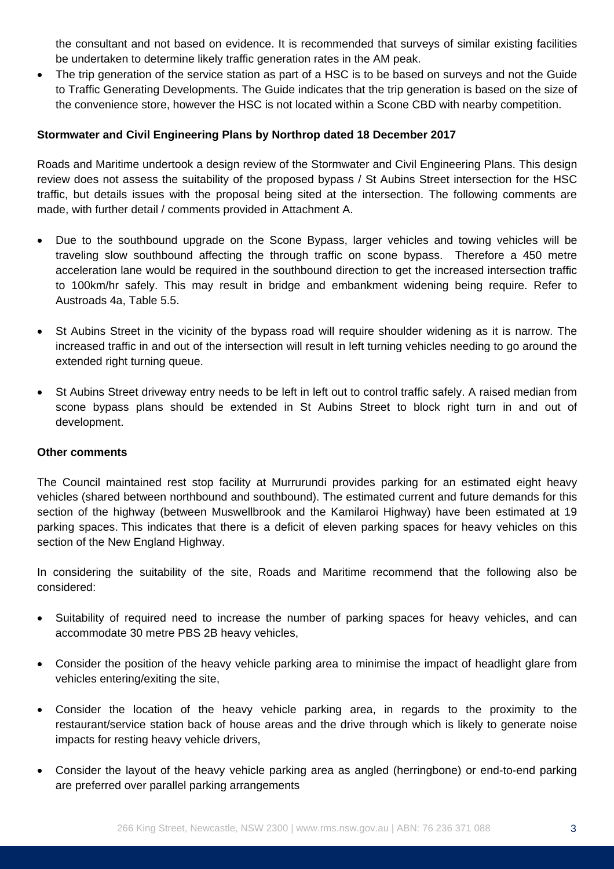the consultant and not based on evidence. It is recommended that surveys of similar existing facilities be undertaken to determine likely traffic generation rates in the AM peak.

• The trip generation of the service station as part of a HSC is to be based on surveys and not the Guide to Traffic Generating Developments. The Guide indicates that the trip generation is based on the size of the convenience store, however the HSC is not located within a Scone CBD with nearby competition.

# **Stormwater and Civil Engineering Plans by Northrop dated 18 December 2017**

Roads and Maritime undertook a design review of the Stormwater and Civil Engineering Plans. This design review does not assess the suitability of the proposed bypass / St Aubins Street intersection for the HSC traffic, but details issues with the proposal being sited at the intersection. The following comments are made, with further detail / comments provided in Attachment A.

- Due to the southbound upgrade on the Scone Bypass, larger vehicles and towing vehicles will be traveling slow southbound affecting the through traffic on scone bypass. Therefore a 450 metre acceleration lane would be required in the southbound direction to get the increased intersection traffic to 100km/hr safely. This may result in bridge and embankment widening being require. Refer to Austroads 4a, Table 5.5.
- St Aubins Street in the vicinity of the bypass road will require shoulder widening as it is narrow. The increased traffic in and out of the intersection will result in left turning vehicles needing to go around the extended right turning queue.
- St Aubins Street driveway entry needs to be left in left out to control traffic safely. A raised median from scone bypass plans should be extended in St Aubins Street to block right turn in and out of development.

## **Other comments**

The Council maintained rest stop facility at Murrurundi provides parking for an estimated eight heavy vehicles (shared between northbound and southbound). The estimated current and future demands for this section of the highway (between Muswellbrook and the Kamilaroi Highway) have been estimated at 19 parking spaces. This indicates that there is a deficit of eleven parking spaces for heavy vehicles on this section of the New England Highway.

In considering the suitability of the site, Roads and Maritime recommend that the following also be considered:

- Suitability of required need to increase the number of parking spaces for heavy vehicles, and can accommodate 30 metre PBS 2B heavy vehicles,
- Consider the position of the heavy vehicle parking area to minimise the impact of headlight glare from vehicles entering/exiting the site,
- Consider the location of the heavy vehicle parking area, in regards to the proximity to the restaurant/service station back of house areas and the drive through which is likely to generate noise impacts for resting heavy vehicle drivers,
- Consider the layout of the heavy vehicle parking area as angled (herringbone) or end-to-end parking are preferred over parallel parking arrangements